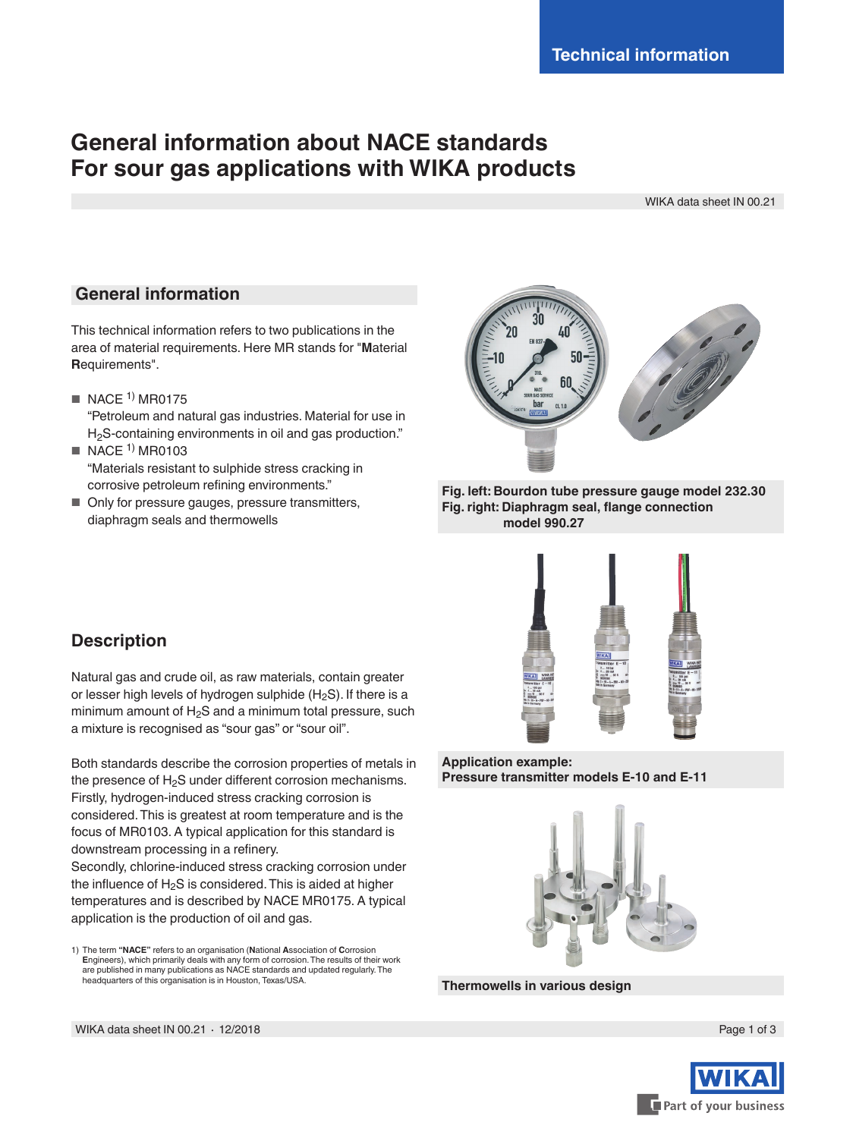# **General information about NACE standards For sour gas applications with WIKA products**

WIKA data sheet IN 00.21

## **General information**

This technical information refers to two publications in the area of material requirements. Here MR stands for "**M**aterial **R**equirements".

- $\blacksquare$  NACE <sup>1)</sup> MR0175 "Petroleum and natural gas industries. Material for use in H<sub>2</sub>S-containing environments in oil and gas production."
- $\blacksquare$  NACE <sup>1)</sup> MR0103 "Materials resistant to sulphide stress cracking in corrosive petroleum refining environments."
- Only for pressure gauges, pressure transmitters, diaphragm seals and thermowells





## **Description**

Natural gas and crude oil, as raw materials, contain greater or lesser high levels of hydrogen sulphide  $(H_2S)$ . If there is a minimum amount of  $H_2S$  and a minimum total pressure, such a mixture is recognised as "sour gas" or "sour oil".

Both standards describe the corrosion properties of metals in the presence of  $H_2S$  under different corrosion mechanisms. Firstly, hydrogen-induced stress cracking corrosion is considered. This is greatest at room temperature and is the focus of MR0103. A typical application for this standard is downstream processing in a refinery.

Secondly, chlorine-induced stress cracking corrosion under the influence of  $H_2S$  is considered. This is aided at higher temperatures and is described by NACE MR0175. A typical application is the production of oil and gas.



**Application example: Pressure transmitter models E-10 and E-11**



**Thermowells in various design**



<sup>1)</sup> The term **"NACE"** refers to an organisation (**N**ational **A**ssociation of **C**orrosion **E**ngineers), which primarily deals with any form of corrosion. The results of their work are published in many publications as NACE standards and updated regularly. The headquarters of this organisation is in Houston, Texas/USA.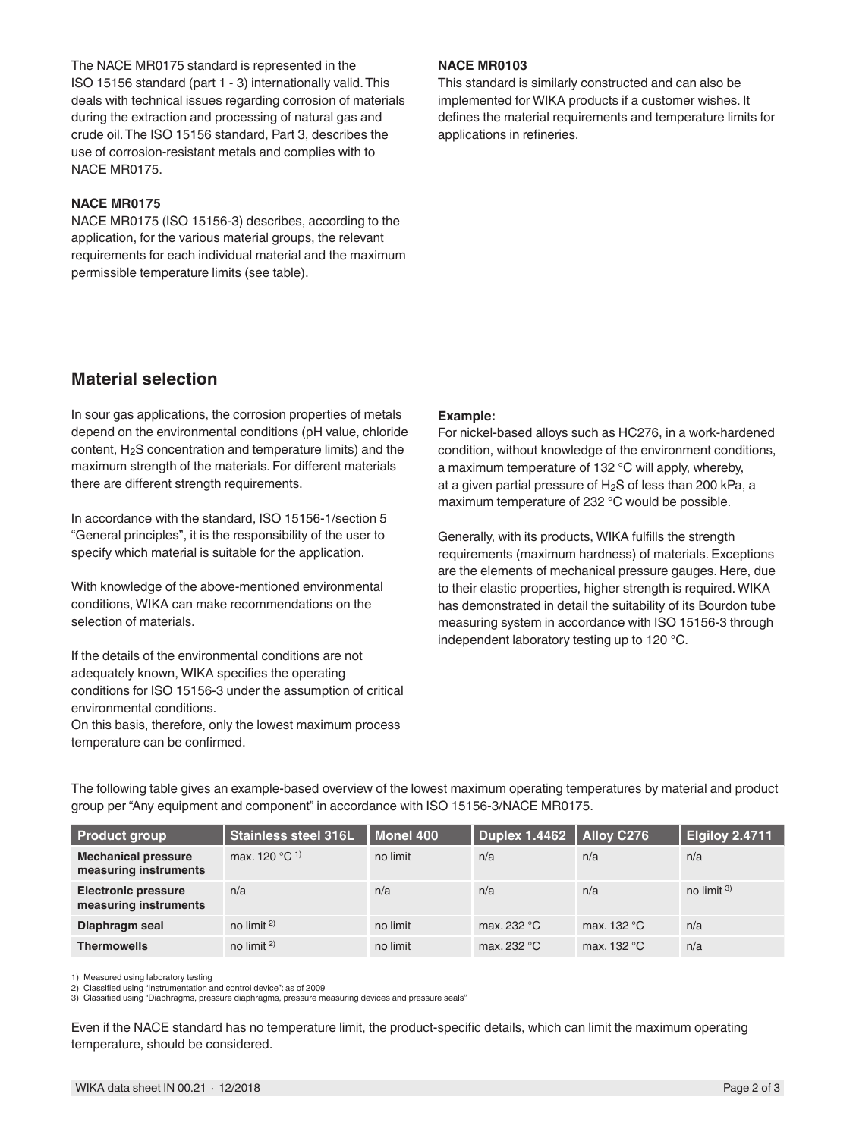The NACE MR0175 standard is represented in the ISO 15156 standard (part 1 - 3) internationally valid. This deals with technical issues regarding corrosion of materials during the extraction and processing of natural gas and crude oil. The ISO 15156 standard, Part 3, describes the use of corrosion-resistant metals and complies with to NACE MR0175.

### **NACE MR0175**

NACE MR0175 (ISO 15156-3) describes, according to the application, for the various material groups, the relevant requirements for each individual material and the maximum permissible temperature limits (see table).

#### **NACE MR0103**

This standard is similarly constructed and can also be implemented for WIKA products if a customer wishes. It defines the material requirements and temperature limits for applications in refineries.

## **Material selection**

In sour gas applications, the corrosion properties of metals depend on the environmental conditions (pH value, chloride content, H2S concentration and temperature limits) and the maximum strength of the materials. For different materials there are different strength requirements.

In accordance with the standard, ISO 15156-1/section 5 "General principles", it is the responsibility of the user to specify which material is suitable for the application.

With knowledge of the above-mentioned environmental conditions, WIKA can make recommendations on the selection of materials.

If the details of the environmental conditions are not adequately known, WIKA specifies the operating conditions for ISO 15156-3 under the assumption of critical environmental conditions.

On this basis, therefore, only the lowest maximum process temperature can be confirmed.

#### **Example:**

For nickel-based alloys such as HC276, in a work-hardened condition, without knowledge of the environment conditions, a maximum temperature of 132 °C will apply, whereby, at a given partial pressure of  $H_2S$  of less than 200 kPa, a maximum temperature of 232 °C would be possible.

Generally, with its products, WIKA fulfills the strength requirements (maximum hardness) of materials. Exceptions are the elements of mechanical pressure gauges. Here, due to their elastic properties, higher strength is required. WIKA has demonstrated in detail the suitability of its Bourdon tube measuring system in accordance with ISO 15156-3 through independent laboratory testing up to 120 °C.

| <b>Product group</b>                                | <b>Stainless steel 316L</b> | Monel 400 | Duplex 1.4462   Alloy C276 |               | Elgiloy 2.4711 |
|-----------------------------------------------------|-----------------------------|-----------|----------------------------|---------------|----------------|
| <b>Mechanical pressure</b><br>measuring instruments | max. 120 °C <sup>1)</sup>   | no limit  | n/a                        | n/a           | n/a            |
| <b>Electronic pressure</b><br>measuring instruments | n/a                         | n/a       | n/a                        | n/a           | no limit $3$   |
| Diaphragm seal                                      | no limit $2$                | no limit  | max. 232 °C                | max. $132 °C$ | n/a            |
| <b>Thermowells</b>                                  | no limit $2$                | no limit  | max. 232 °C                | max. $132 °C$ | n/a            |

The following table gives an example-based overview of the lowest maximum operating temperatures by material and product group per "Any equipment and component" in accordance with ISO 15156-3/NACE MR0175.

1) Measured using laboratory testing

2) Classified using "Instrumentation and control device": as of 2009 3) Classified using "Diaphragms, pressure diaphragms, pressure measuring devices and pressure seals"

Even if the NACE standard has no temperature limit, the product-specific details, which can limit the maximum operating temperature, should be considered.